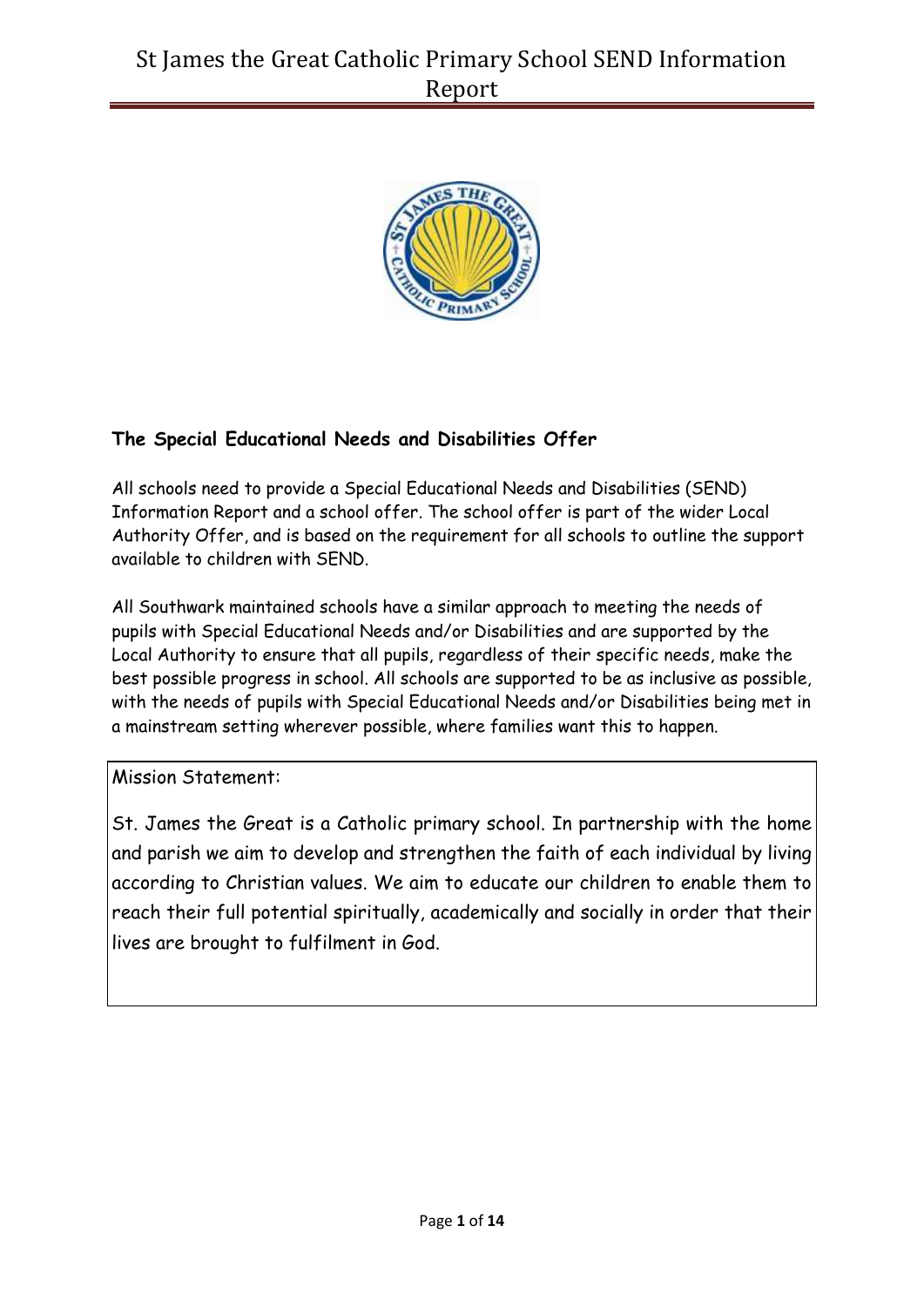

## **The Special Educational Needs and Disabilities Offer**

All schools need to provide a Special Educational Needs and Disabilities (SEND) Information Report and a school offer. The school offer is part of the wider Local Authority Offer, and is based on the requirement for all schools to outline the support available to children with SEND.

All Southwark maintained schools have a similar approach to meeting the needs of pupils with Special Educational Needs and/or Disabilities and are supported by the Local Authority to ensure that all pupils, regardless of their specific needs, make the best possible progress in school. All schools are supported to be as inclusive as possible, with the needs of pupils with Special Educational Needs and/or Disabilities being met in a mainstream setting wherever possible, where families want this to happen.

Mission Statement:

St. James the Great is a Catholic primary school. In partnership with the home and parish we aim to develop and strengthen the faith of each individual by living according to Christian values. We aim to educate our children to enable them to reach their full potential spiritually, academically and socially in order that their lives are brought to fulfilment in God.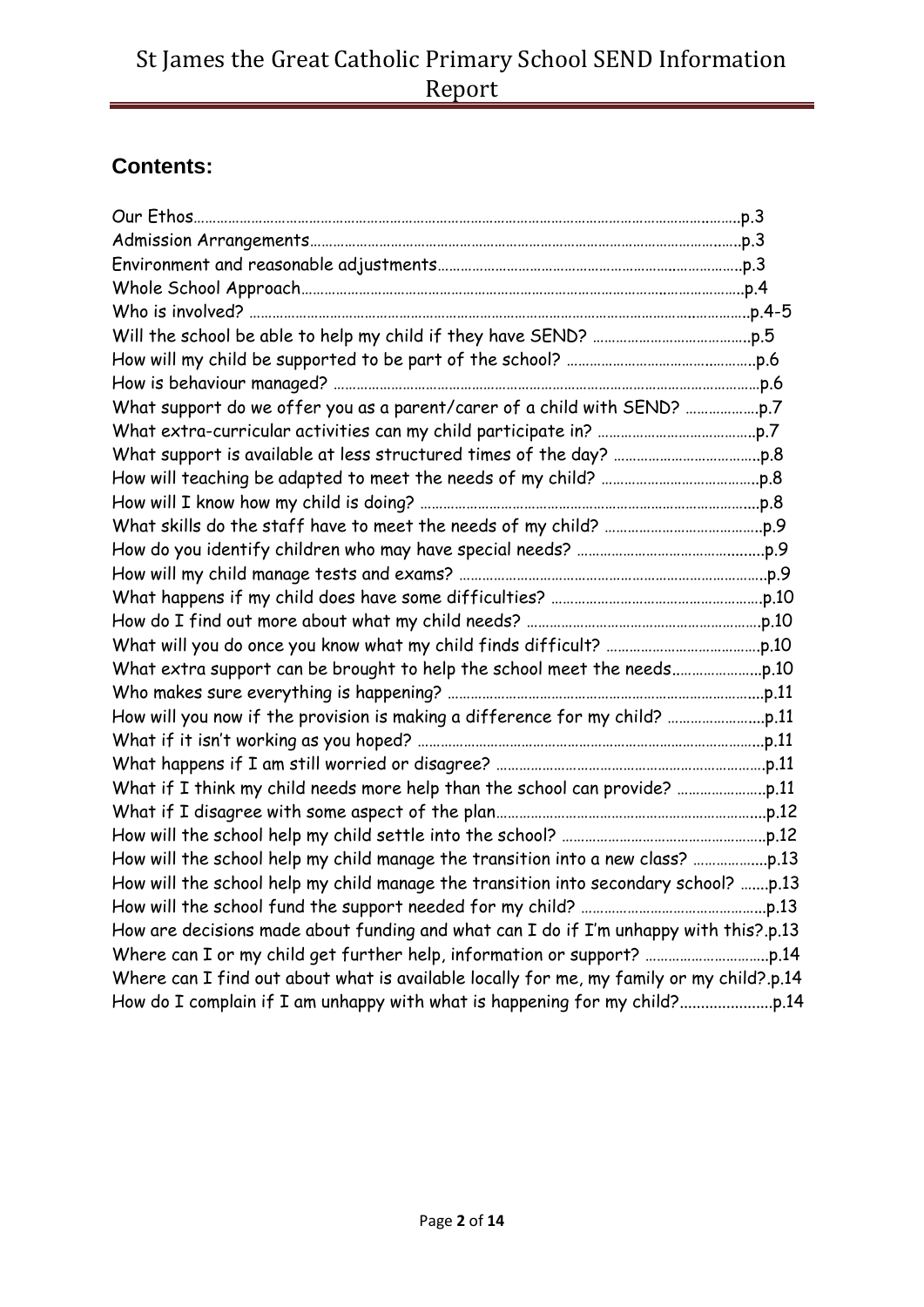# **Contents:**

| How will the school help my child manage the transition into secondary school? p.13      |  |
|------------------------------------------------------------------------------------------|--|
|                                                                                          |  |
| How are decisions made about funding and what can I do if I'm unhappy with this?.p.13    |  |
|                                                                                          |  |
| Where can I find out about what is available locally for me, my family or my child?.p.14 |  |
|                                                                                          |  |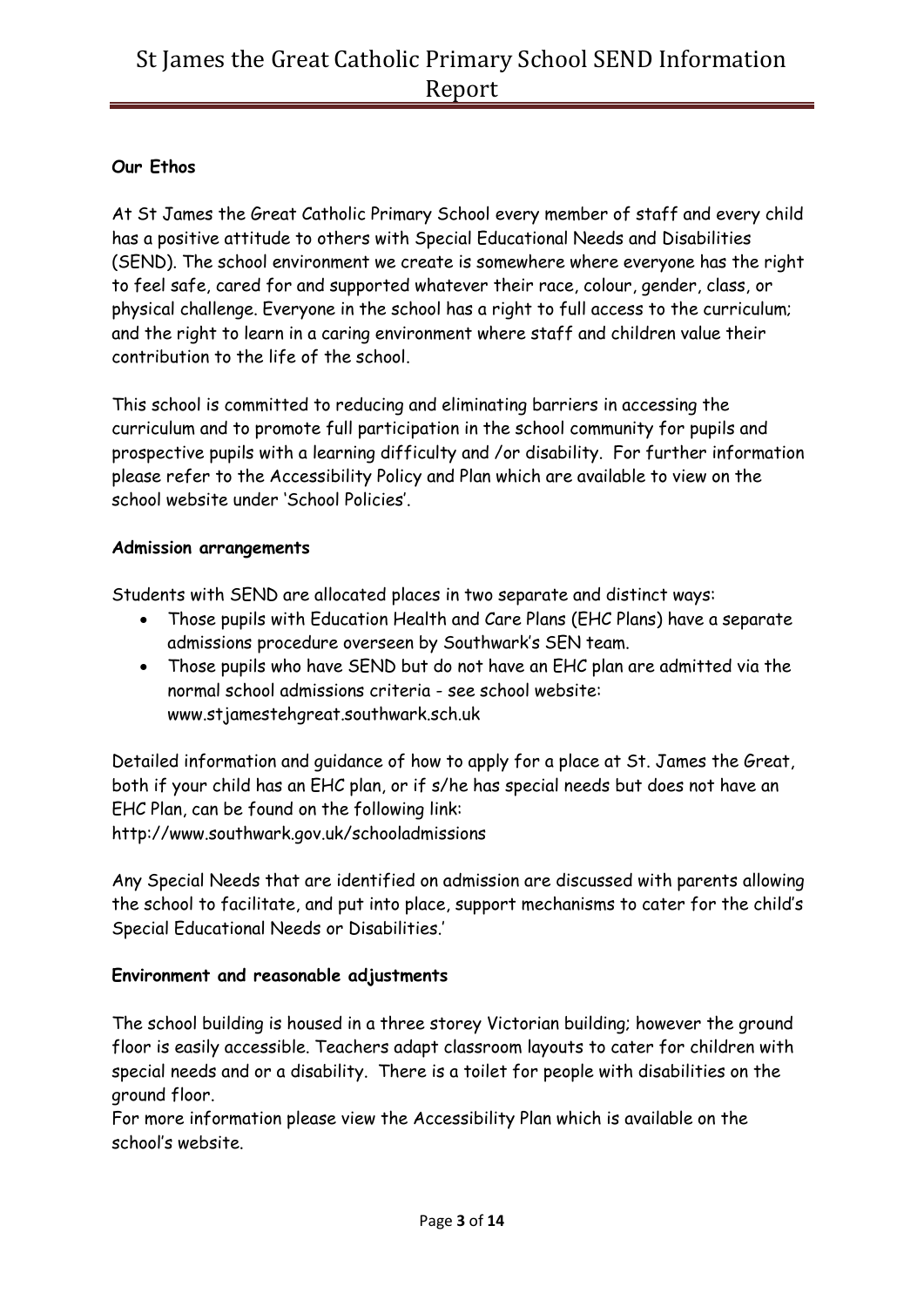## **Our Ethos**

At St James the Great Catholic Primary School every member of staff and every child has a positive attitude to others with Special Educational Needs and Disabilities (SEND). The school environment we create is somewhere where everyone has the right to feel safe, cared for and supported whatever their race, colour, gender, class, or physical challenge. Everyone in the school has a right to full access to the curriculum; and the right to learn in a caring environment where staff and children value their contribution to the life of the school.

This school is committed to reducing and eliminating barriers in accessing the curriculum and to promote full participation in the school community for pupils and prospective pupils with a learning difficulty and /or disability. For further information please refer to the Accessibility Policy and Plan which are available to view on the school website under 'School Policies'.

### **Admission arrangements**

Students with SEND are allocated places in two separate and distinct ways:

- Those pupils with Education Health and Care Plans (EHC Plans) have a separate admissions procedure overseen by Southwark's SEN team.
- Those pupils who have SEND but do not have an EHC plan are admitted via the normal school admissions criteria - see school website: www.stjamestehgreat.southwark.sch.uk

Detailed information and guidance of how to apply for a place at St. James the Great, both if your child has an EHC plan, or if s/he has special needs but does not have an EHC Plan, can be found on the following link: http://www.southwark.gov.uk/schooladmissions

Any Special Needs that are identified on admission are discussed with parents allowing the school to facilitate, and put into place, support mechanisms to cater for the child's Special Educational Needs or Disabilities.'

## **Environment and reasonable adjustments**

The school building is housed in a three storey Victorian building; however the ground floor is easily accessible. Teachers adapt classroom layouts to cater for children with special needs and or a disability. There is a toilet for people with disabilities on the ground floor.

For more information please view the Accessibility Plan which is available on the school's website.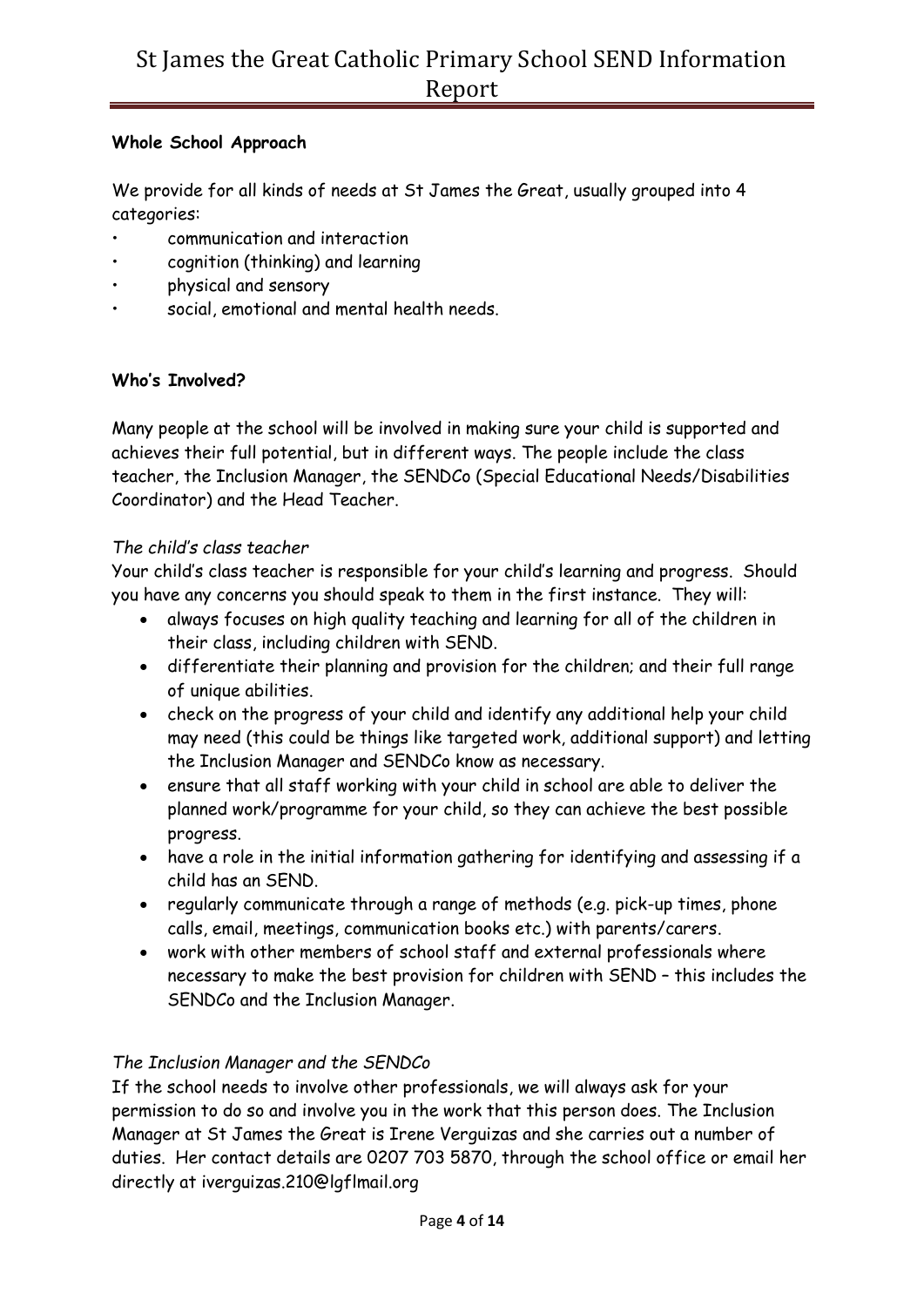### **Whole School Approach**

We provide for all kinds of needs at St James the Great, usually grouped into 4 categories:

- communication and interaction
- cognition (thinking) and learning
- physical and sensory
- social, emotional and mental health needs.

## **Who's Involved?**

Many people at the school will be involved in making sure your child is supported and achieves their full potential, but in different ways. The people include the class teacher, the Inclusion Manager, the SENDCo (Special Educational Needs/Disabilities Coordinator) and the Head Teacher.

#### *The child's class teacher*

Your child's class teacher is responsible for your child's learning and progress. Should you have any concerns you should speak to them in the first instance. They will:

- always focuses on high quality teaching and learning for all of the children in their class, including children with SEND.
- differentiate their planning and provision for the children; and their full range of unique abilities.
- check on the progress of your child and identify any additional help your child may need (this could be things like targeted work, additional support) and letting the Inclusion Manager and SENDCo know as necessary.
- ensure that all staff working with your child in school are able to deliver the planned work/programme for your child, so they can achieve the best possible progress.
- have a role in the initial information gathering for identifying and assessing if a child has an SEND.
- regularly communicate through a range of methods (e.g. pick-up times, phone calls, email, meetings, communication books etc.) with parents/carers.
- work with other members of school staff and external professionals where necessary to make the best provision for children with SEND – this includes the SENDCo and the Inclusion Manager.

## *The Inclusion Manager and the SENDCo*

If the school needs to involve other professionals, we will always ask for your permission to do so and involve you in the work that this person does. The Inclusion Manager at St James the Great is Irene Verguizas and she carries out a number of duties. Her contact details are 0207 703 5870, through the school office or email her directly at iverguizas.210@lgflmail.org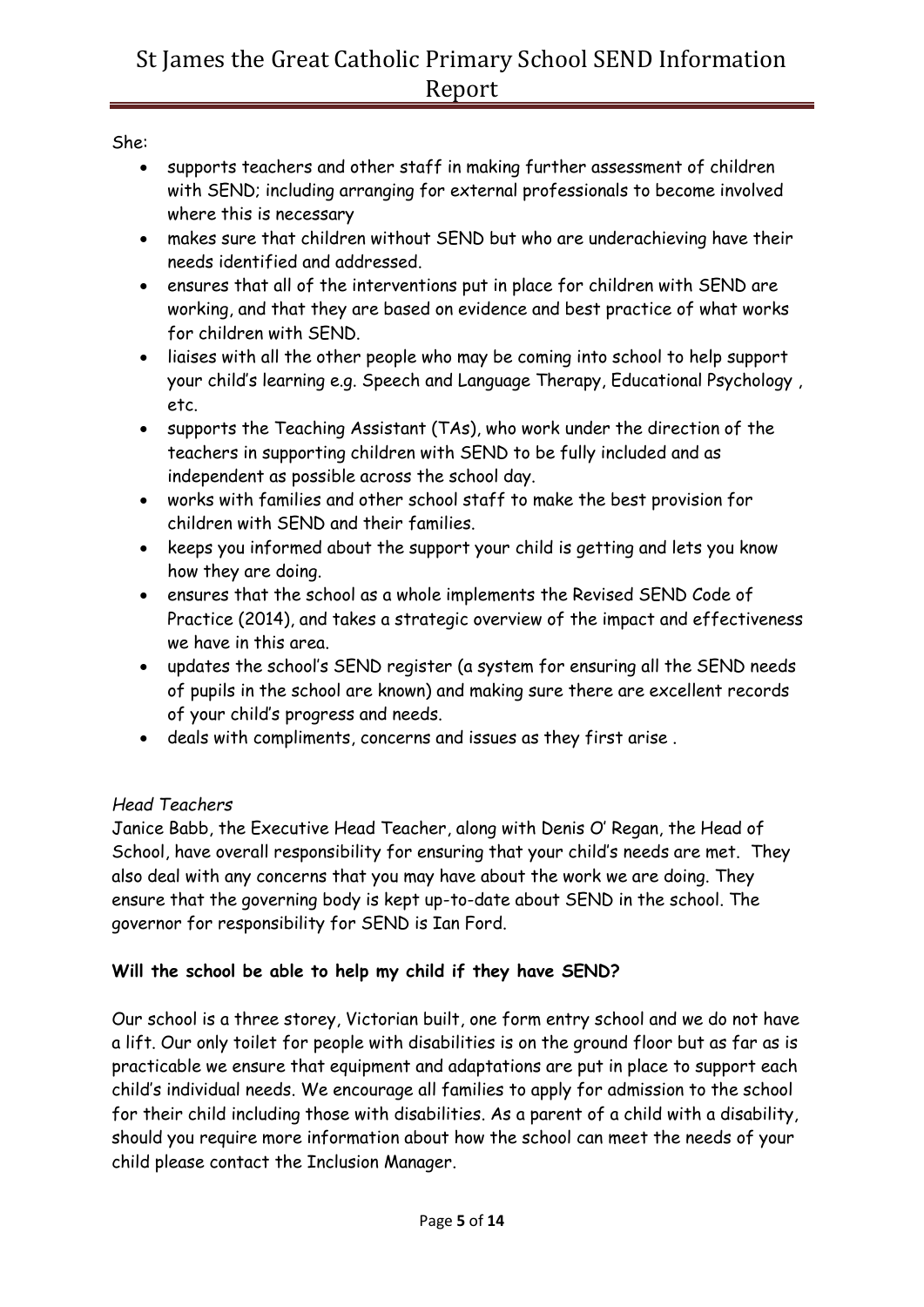She:

- supports teachers and other staff in making further assessment of children with SEND; including arranging for external professionals to become involved where this is necessary
- makes sure that children without SEND but who are underachieving have their needs identified and addressed.
- ensures that all of the interventions put in place for children with SEND are working, and that they are based on evidence and best practice of what works for children with SEND.
- liaises with all the other people who may be coming into school to help support your child's learning e.g. Speech and Language Therapy, Educational Psychology , etc.
- supports the Teaching Assistant (TAs), who work under the direction of the teachers in supporting children with SEND to be fully included and as independent as possible across the school day.
- works with families and other school staff to make the best provision for children with SEND and their families.
- keeps you informed about the support your child is getting and lets you know how they are doing.
- ensures that the school as a whole implements the Revised SEND Code of Practice (2014), and takes a strategic overview of the impact and effectiveness we have in this area.
- updates the school's SEND register (a system for ensuring all the SEND needs of pupils in the school are known) and making sure there are excellent records of your child's progress and needs.
- deals with compliments, concerns and issues as they first arise .

## *Head Teachers*

Janice Babb, the Executive Head Teacher, along with Denis O' Regan, the Head of School, have overall responsibility for ensuring that your child's needs are met. They also deal with any concerns that you may have about the work we are doing. They ensure that the governing body is kept up-to-date about SEND in the school. The governor for responsibility for SEND is Ian Ford.

## **Will the school be able to help my child if they have SEND?**

Our school is a three storey, Victorian built, one form entry school and we do not have a lift. Our only toilet for people with disabilities is on the ground floor but as far as is practicable we ensure that equipment and adaptations are put in place to support each child's individual needs. We encourage all families to apply for admission to the school for their child including those with disabilities. As a parent of a child with a disability, should you require more information about how the school can meet the needs of your child please contact the Inclusion Manager.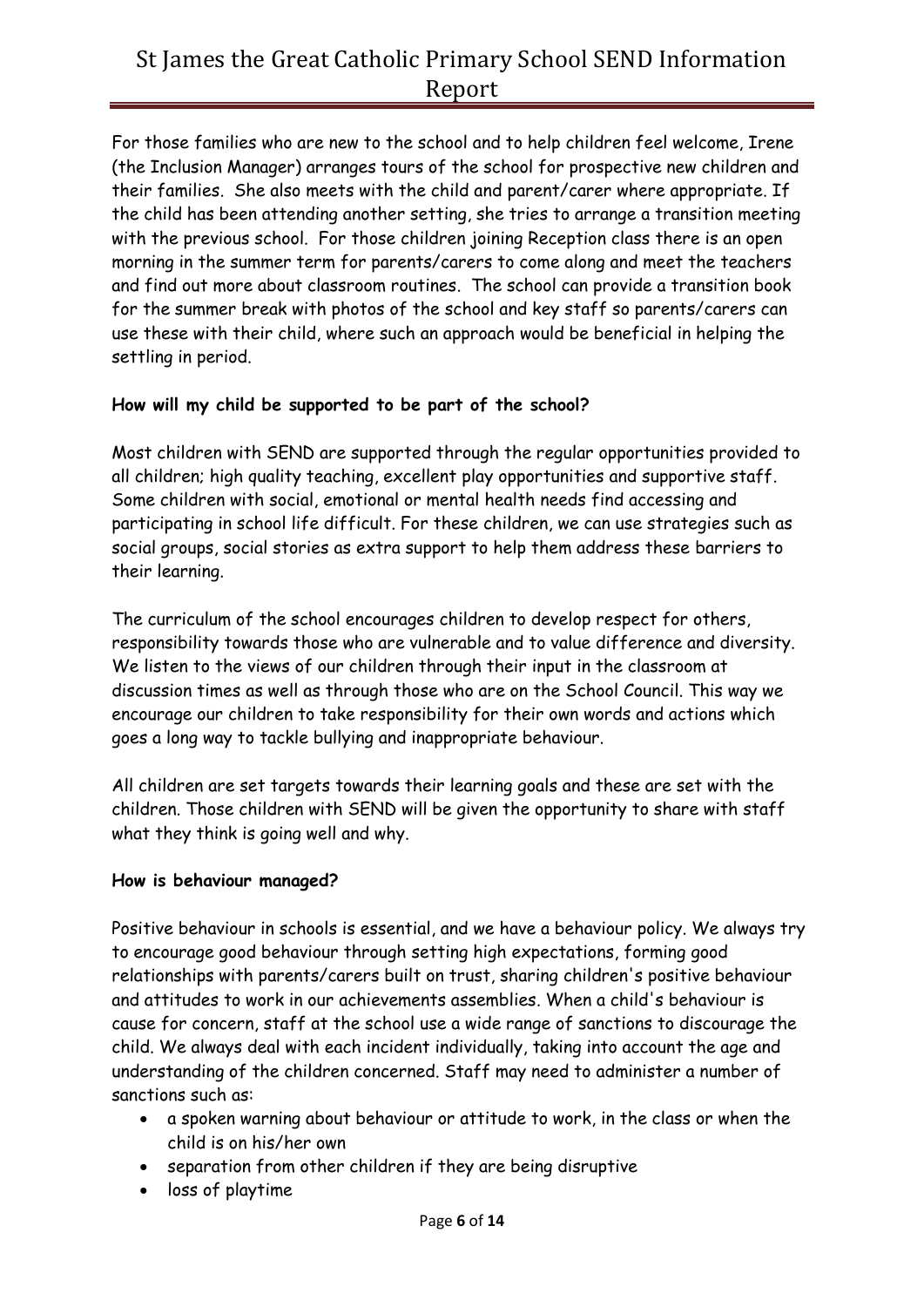For those families who are new to the school and to help children feel welcome, Irene (the Inclusion Manager) arranges tours of the school for prospective new children and their families. She also meets with the child and parent/carer where appropriate. If the child has been attending another setting, she tries to arrange a transition meeting with the previous school. For those children joining Reception class there is an open morning in the summer term for parents/carers to come along and meet the teachers and find out more about classroom routines. The school can provide a transition book for the summer break with photos of the school and key staff so parents/carers can use these with their child, where such an approach would be beneficial in helping the settling in period.

### **How will my child be supported to be part of the school?**

Most children with SEND are supported through the regular opportunities provided to all children; high quality teaching, excellent play opportunities and supportive staff. Some children with social, emotional or mental health needs find accessing and participating in school life difficult. For these children, we can use strategies such as social groups, social stories as extra support to help them address these barriers to their learning.

The curriculum of the school encourages children to develop respect for others, responsibility towards those who are vulnerable and to value difference and diversity. We listen to the views of our children through their input in the classroom at discussion times as well as through those who are on the School Council. This way we encourage our children to take responsibility for their own words and actions which goes a long way to tackle bullying and inappropriate behaviour.

All children are set targets towards their learning goals and these are set with the children. Those children with SEND will be given the opportunity to share with staff what they think is going well and why.

#### **How is behaviour managed?**

Positive behaviour in schools is essential, and we have a behaviour policy. We always try to encourage good behaviour through setting high expectations, forming good relationships with parents/carers built on trust, sharing children's positive behaviour and attitudes to work in our achievements assemblies. When a child's behaviour is cause for concern, staff at the school use a wide range of sanctions to discourage the child. We always deal with each incident individually, taking into account the age and understanding of the children concerned. Staff may need to administer a number of sanctions such as:

- a spoken warning about behaviour or attitude to work, in the class or when the child is on his/her own
- separation from other children if they are being disruptive
- loss of playtime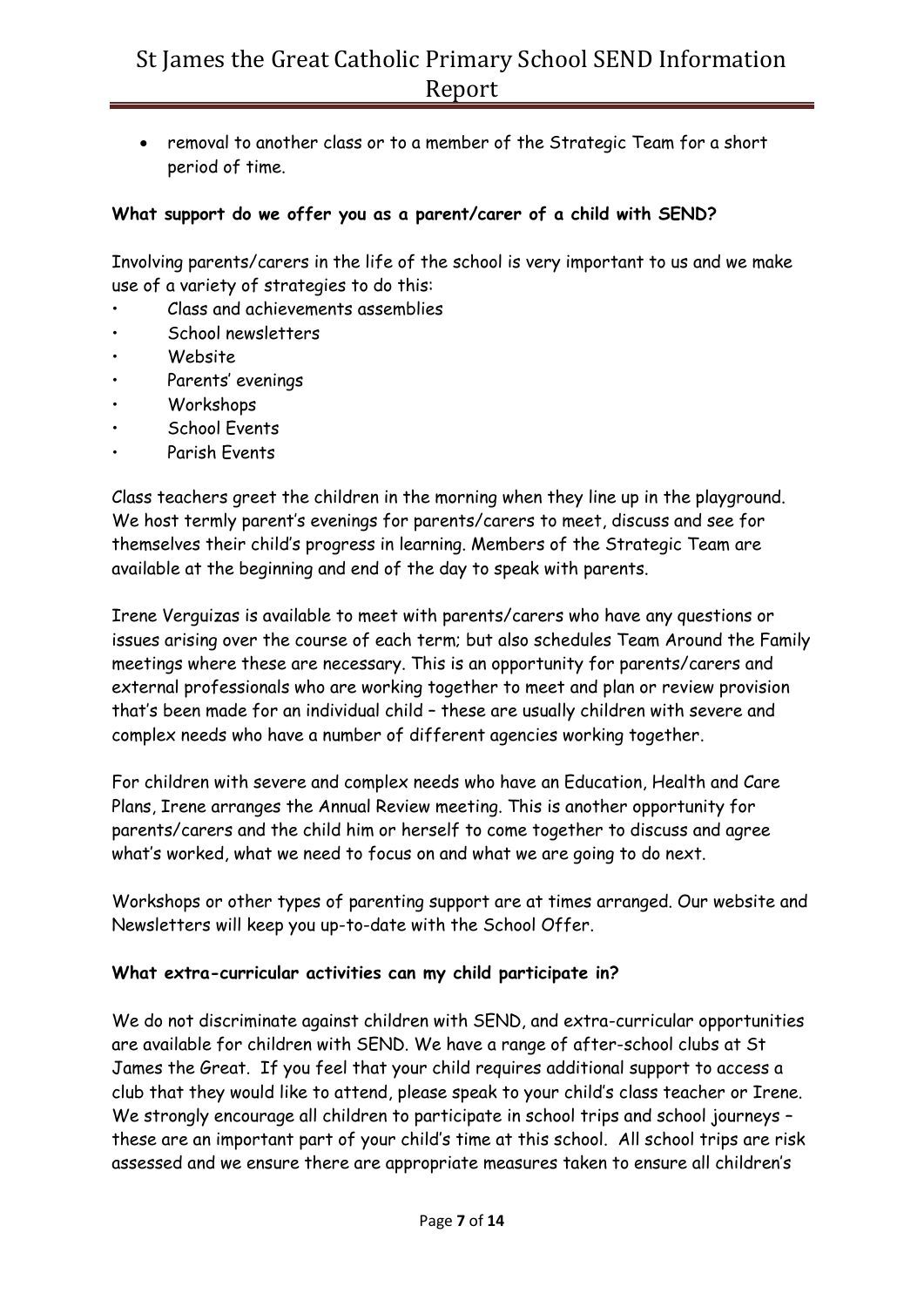• removal to another class or to a member of the Strategic Team for a short period of time.

### **What support do we offer you as a parent/carer of a child with SEND?**

Involving parents/carers in the life of the school is very important to us and we make use of a variety of strategies to do this:

- Class and achievements assemblies
- School newsletters
- Website
- Parents' evenings
- Workshops
- School Events
- Parish Events

Class teachers greet the children in the morning when they line up in the playground. We host termly parent's evenings for parents/carers to meet, discuss and see for themselves their child's progress in learning. Members of the Strategic Team are available at the beginning and end of the day to speak with parents.

Irene Verguizas is available to meet with parents/carers who have any questions or issues arising over the course of each term; but also schedules Team Around the Family meetings where these are necessary. This is an opportunity for parents/carers and external professionals who are working together to meet and plan or review provision that's been made for an individual child – these are usually children with severe and complex needs who have a number of different agencies working together.

For children with severe and complex needs who have an Education, Health and Care Plans, Irene arranges the Annual Review meeting. This is another opportunity for parents/carers and the child him or herself to come together to discuss and agree what's worked, what we need to focus on and what we are going to do next.

Workshops or other types of parenting support are at times arranged. Our website and Newsletters will keep you up-to-date with the School Offer.

#### **What extra-curricular activities can my child participate in?**

We do not discriminate against children with SEND, and extra-curricular opportunities are available for children with SEND. We have a range of after-school clubs at St James the Great. If you feel that your child requires additional support to access a club that they would like to attend, please speak to your child's class teacher or Irene. We strongly encourage all children to participate in school trips and school journeys – these are an important part of your child's time at this school. All school trips are risk assessed and we ensure there are appropriate measures taken to ensure all children's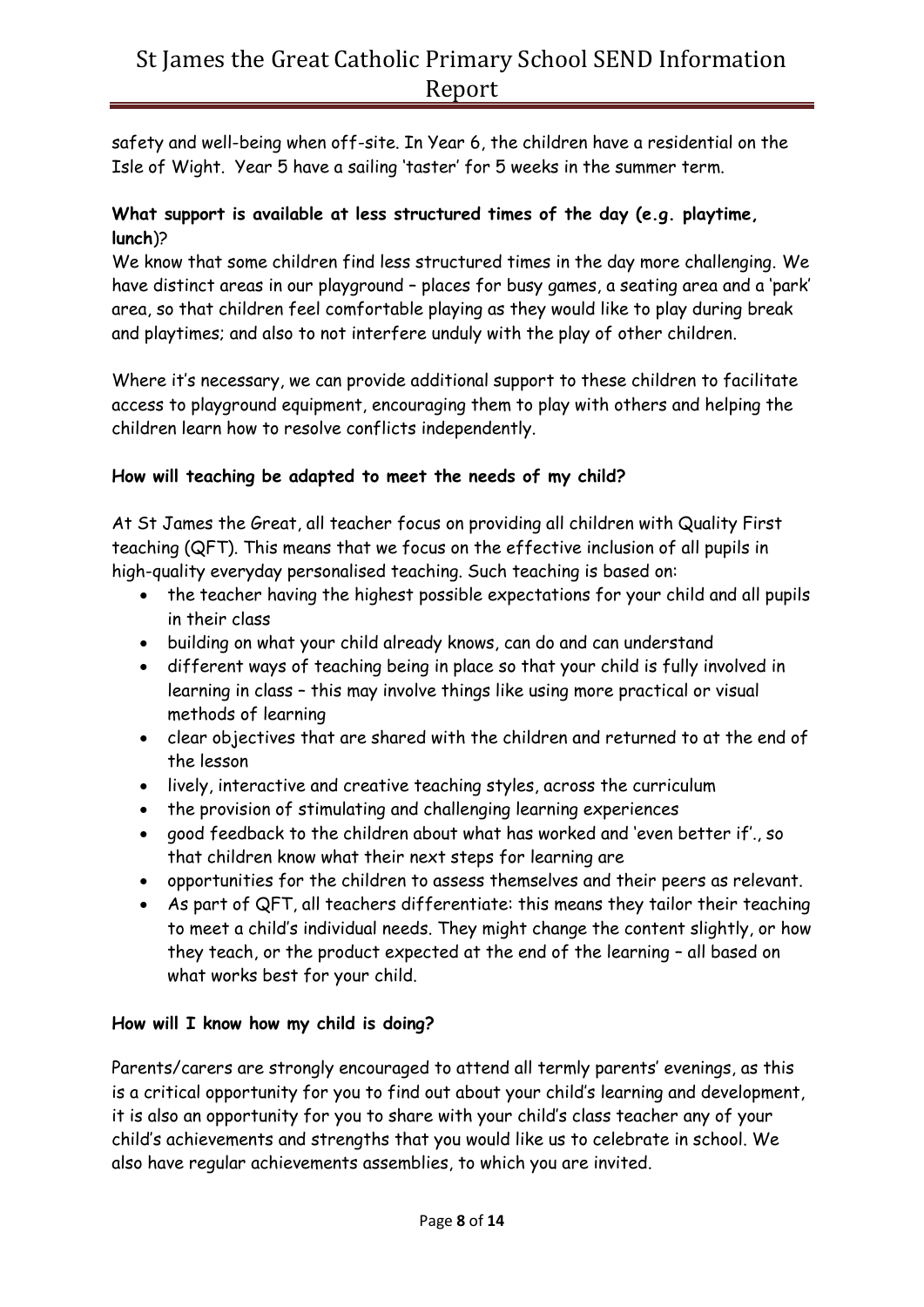safety and well-being when off-site. In Year 6, the children have a residential on the Isle of Wight. Year 5 have a sailing 'taster' for 5 weeks in the summer term.

## **What support is available at less structured times of the day (e.g. playtime, lunch**)?

We know that some children find less structured times in the day more challenging. We have distinct areas in our playground – places for busy games, a seating area and a 'park' area, so that children feel comfortable playing as they would like to play during break and playtimes; and also to not interfere unduly with the play of other children.

Where it's necessary, we can provide additional support to these children to facilitate access to playground equipment, encouraging them to play with others and helping the children learn how to resolve conflicts independently.

## **How will teaching be adapted to meet the needs of my child?**

At St James the Great, all teacher focus on providing all children with Quality First teaching (QFT). This means that we focus on the effective inclusion of all pupils in high-quality everyday personalised teaching. Such teaching is based on:

- the teacher having the highest possible expectations for your child and all pupils in their class
- building on what your child already knows, can do and can understand
- different ways of teaching being in place so that your child is fully involved in learning in class – this may involve things like using more practical or visual methods of learning
- clear objectives that are shared with the children and returned to at the end of the lesson
- lively, interactive and creative teaching styles, across the curriculum
- the provision of stimulating and challenging learning experiences
- good feedback to the children about what has worked and 'even better if'., so that children know what their next steps for learning are
- opportunities for the children to assess themselves and their peers as relevant.
- As part of QFT, all teachers differentiate: this means they tailor their teaching to meet a child's individual needs. They might change the content slightly, or how they teach, or the product expected at the end of the learning – all based on what works best for your child.

## **How will I know how my child is doing?**

Parents/carers are strongly encouraged to attend all termly parents' evenings, as this is a critical opportunity for you to find out about your child's learning and development, it is also an opportunity for you to share with your child's class teacher any of your child's achievements and strengths that you would like us to celebrate in school. We also have regular achievements assemblies, to which you are invited.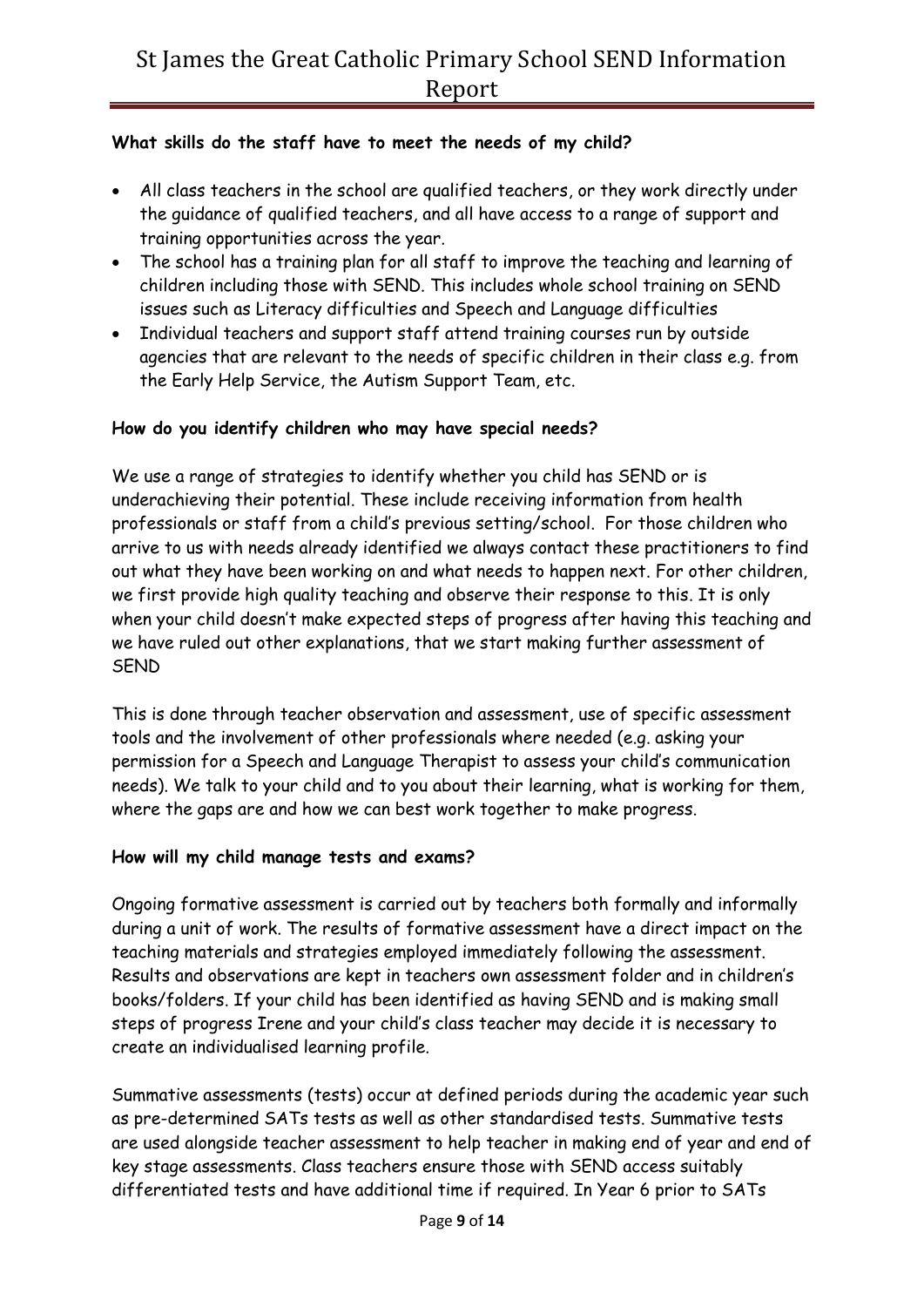## **What skills do the staff have to meet the needs of my child?**

- All class teachers in the school are qualified teachers, or they work directly under the guidance of qualified teachers, and all have access to a range of support and training opportunities across the year.
- The school has a training plan for all staff to improve the teaching and learning of children including those with SEND. This includes whole school training on SEND issues such as Literacy difficulties and Speech and Language difficulties
- Individual teachers and support staff attend training courses run by outside agencies that are relevant to the needs of specific children in their class e.g. from the Early Help Service, the Autism Support Team, etc.

## **How do you identify children who may have special needs?**

We use a range of strategies to identify whether you child has SEND or is underachieving their potential. These include receiving information from health professionals or staff from a child's previous setting/school. For those children who arrive to us with needs already identified we always contact these practitioners to find out what they have been working on and what needs to happen next. For other children, we first provide high quality teaching and observe their response to this. It is only when your child doesn't make expected steps of progress after having this teaching and we have ruled out other explanations, that we start making further assessment of SEND

This is done through teacher observation and assessment, use of specific assessment tools and the involvement of other professionals where needed (e.g. asking your permission for a Speech and Language Therapist to assess your child's communication needs). We talk to your child and to you about their learning, what is working for them, where the gaps are and how we can best work together to make progress.

## **How will my child manage tests and exams?**

Ongoing formative assessment is carried out by teachers both formally and informally during a unit of work. The results of formative assessment have a direct impact on the teaching materials and strategies employed immediately following the assessment. Results and observations are kept in teachers own assessment folder and in children's books/folders. If your child has been identified as having SEND and is making small steps of progress Irene and your child's class teacher may decide it is necessary to create an individualised learning profile.

Summative assessments (tests) occur at defined periods during the academic year such as pre-determined SATs tests as well as other standardised tests. Summative tests are used alongside teacher assessment to help teacher in making end of year and end of key stage assessments. Class teachers ensure those with SEND access suitably differentiated tests and have additional time if required. In Year 6 prior to SATs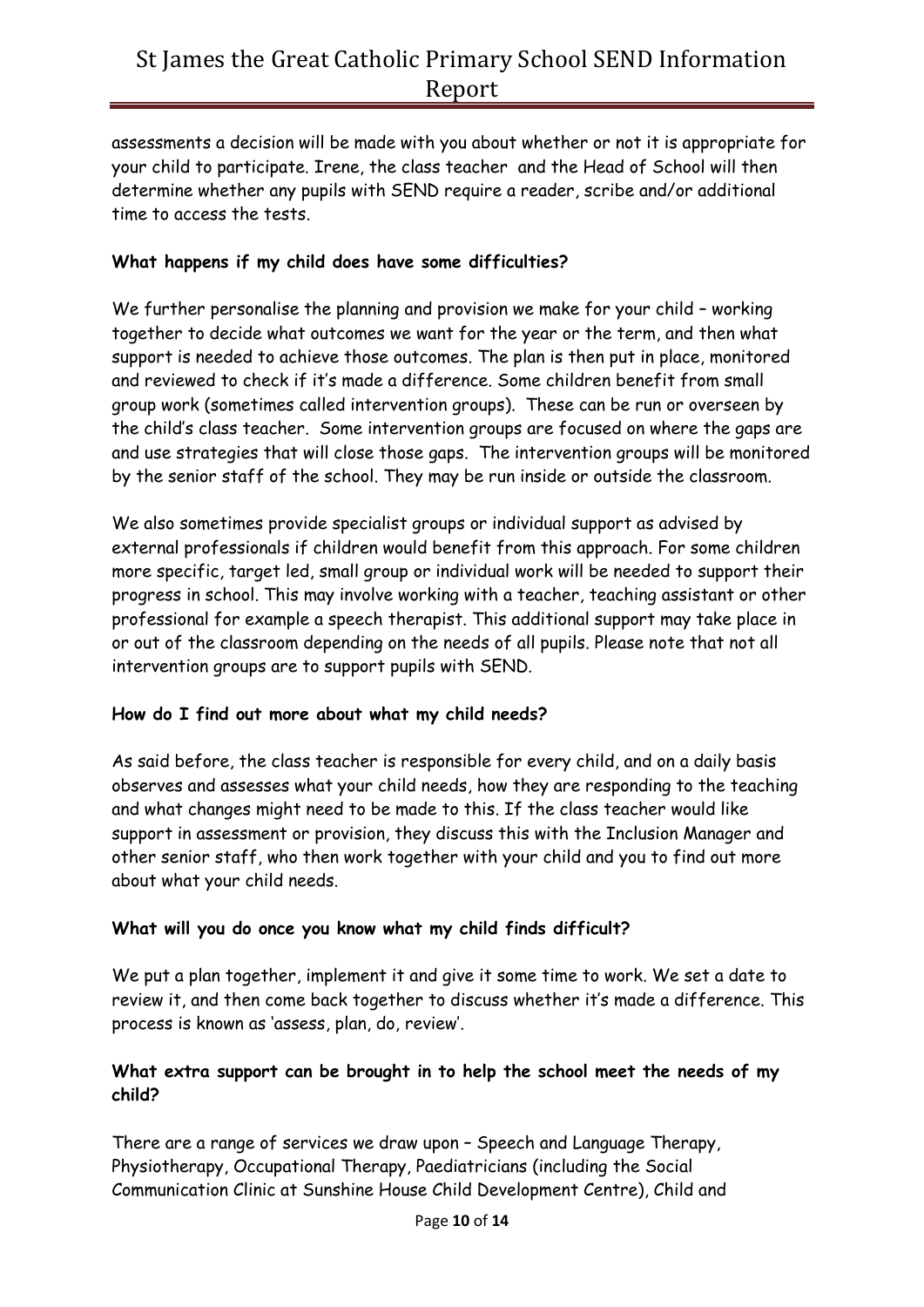assessments a decision will be made with you about whether or not it is appropriate for your child to participate. Irene, the class teacher and the Head of School will then determine whether any pupils with SEND require a reader, scribe and/or additional time to access the tests.

### **What happens if my child does have some difficulties?**

We further personalise the planning and provision we make for your child – working together to decide what outcomes we want for the year or the term, and then what support is needed to achieve those outcomes. The plan is then put in place, monitored and reviewed to check if it's made a difference. Some children benefit from small group work (sometimes called intervention groups). These can be run or overseen by the child's class teacher. Some intervention groups are focused on where the gaps are and use strategies that will close those gaps. The intervention groups will be monitored by the senior staff of the school. They may be run inside or outside the classroom.

We also sometimes provide specialist groups or individual support as advised by external professionals if children would benefit from this approach. For some children more specific, target led, small group or individual work will be needed to support their progress in school. This may involve working with a teacher, teaching assistant or other professional for example a speech therapist. This additional support may take place in or out of the classroom depending on the needs of all pupils. Please note that not all intervention groups are to support pupils with SEND.

#### **How do I find out more about what my child needs?**

As said before, the class teacher is responsible for every child, and on a daily basis observes and assesses what your child needs, how they are responding to the teaching and what changes might need to be made to this. If the class teacher would like support in assessment or provision, they discuss this with the Inclusion Manager and other senior staff, who then work together with your child and you to find out more about what your child needs.

#### **What will you do once you know what my child finds difficult?**

We put a plan together, implement it and give it some time to work. We set a date to review it, and then come back together to discuss whether it's made a difference. This process is known as 'assess, plan, do, review'.

## **What extra support can be brought in to help the school meet the needs of my child?**

There are a range of services we draw upon – Speech and Language Therapy, Physiotherapy, Occupational Therapy, Paediatricians (including the Social Communication Clinic at Sunshine House Child Development Centre), Child and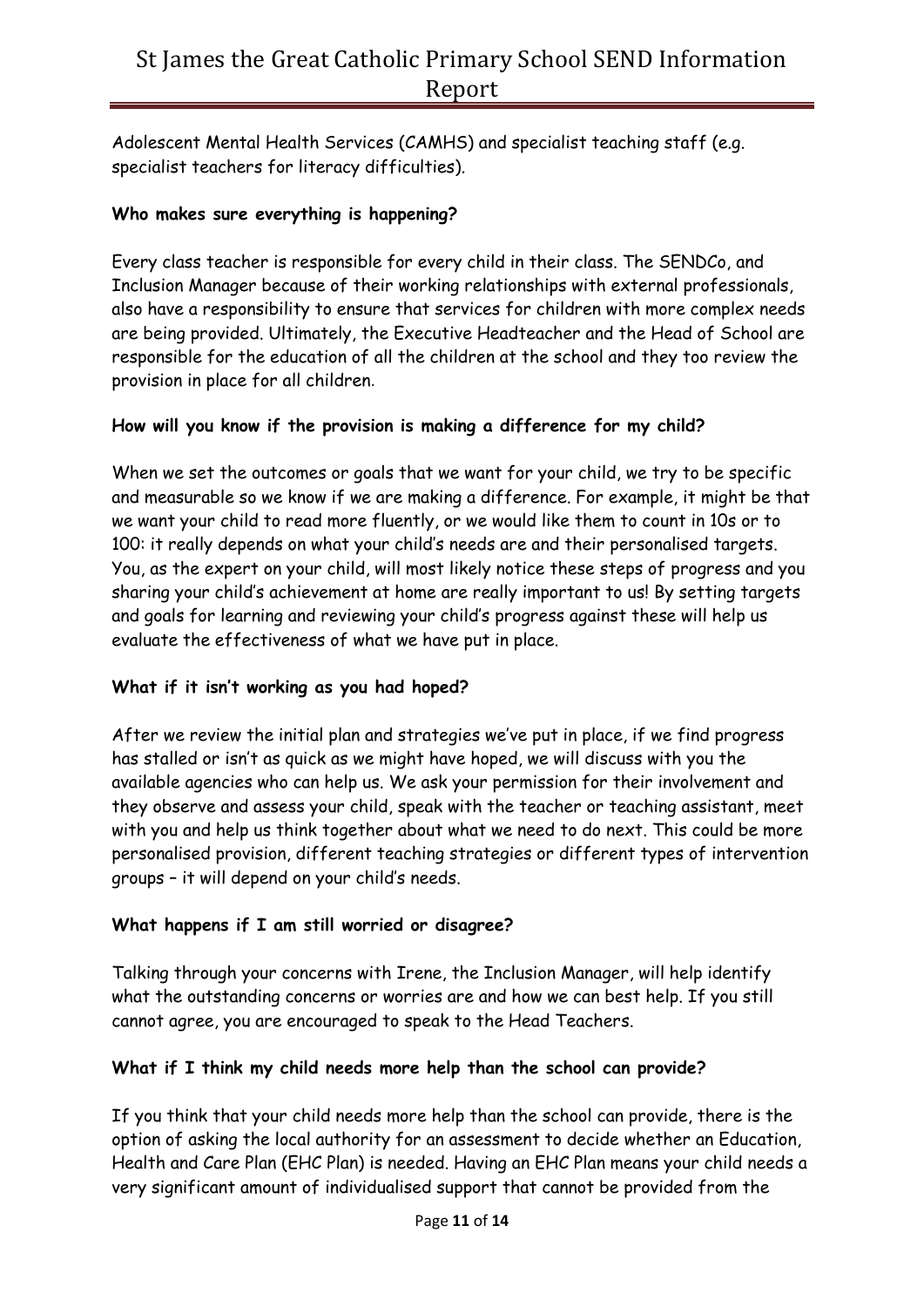Adolescent Mental Health Services (CAMHS) and specialist teaching staff (e.g. specialist teachers for literacy difficulties).

## **Who makes sure everything is happening?**

Every class teacher is responsible for every child in their class. The SENDCo, and Inclusion Manager because of their working relationships with external professionals, also have a responsibility to ensure that services for children with more complex needs are being provided. Ultimately, the Executive Headteacher and the Head of School are responsible for the education of all the children at the school and they too review the provision in place for all children.

### **How will you know if the provision is making a difference for my child?**

When we set the outcomes or goals that we want for your child, we try to be specific and measurable so we know if we are making a difference. For example, it might be that we want your child to read more fluently, or we would like them to count in 10s or to 100: it really depends on what your child's needs are and their personalised targets. You, as the expert on your child, will most likely notice these steps of progress and you sharing your child's achievement at home are really important to us! By setting targets and goals for learning and reviewing your child's progress against these will help us evaluate the effectiveness of what we have put in place.

## **What if it isn't working as you had hoped?**

After we review the initial plan and strategies we've put in place, if we find progress has stalled or isn't as quick as we might have hoped, we will discuss with you the available agencies who can help us. We ask your permission for their involvement and they observe and assess your child, speak with the teacher or teaching assistant, meet with you and help us think together about what we need to do next. This could be more personalised provision, different teaching strategies or different types of intervention groups – it will depend on your child's needs.

## **What happens if I am still worried or disagree?**

Talking through your concerns with Irene, the Inclusion Manager, will help identify what the outstanding concerns or worries are and how we can best help. If you still cannot agree, you are encouraged to speak to the Head Teachers.

#### **What if I think my child needs more help than the school can provide?**

If you think that your child needs more help than the school can provide, there is the option of asking the local authority for an assessment to decide whether an Education, Health and Care Plan (EHC Plan) is needed. Having an EHC Plan means your child needs a very significant amount of individualised support that cannot be provided from the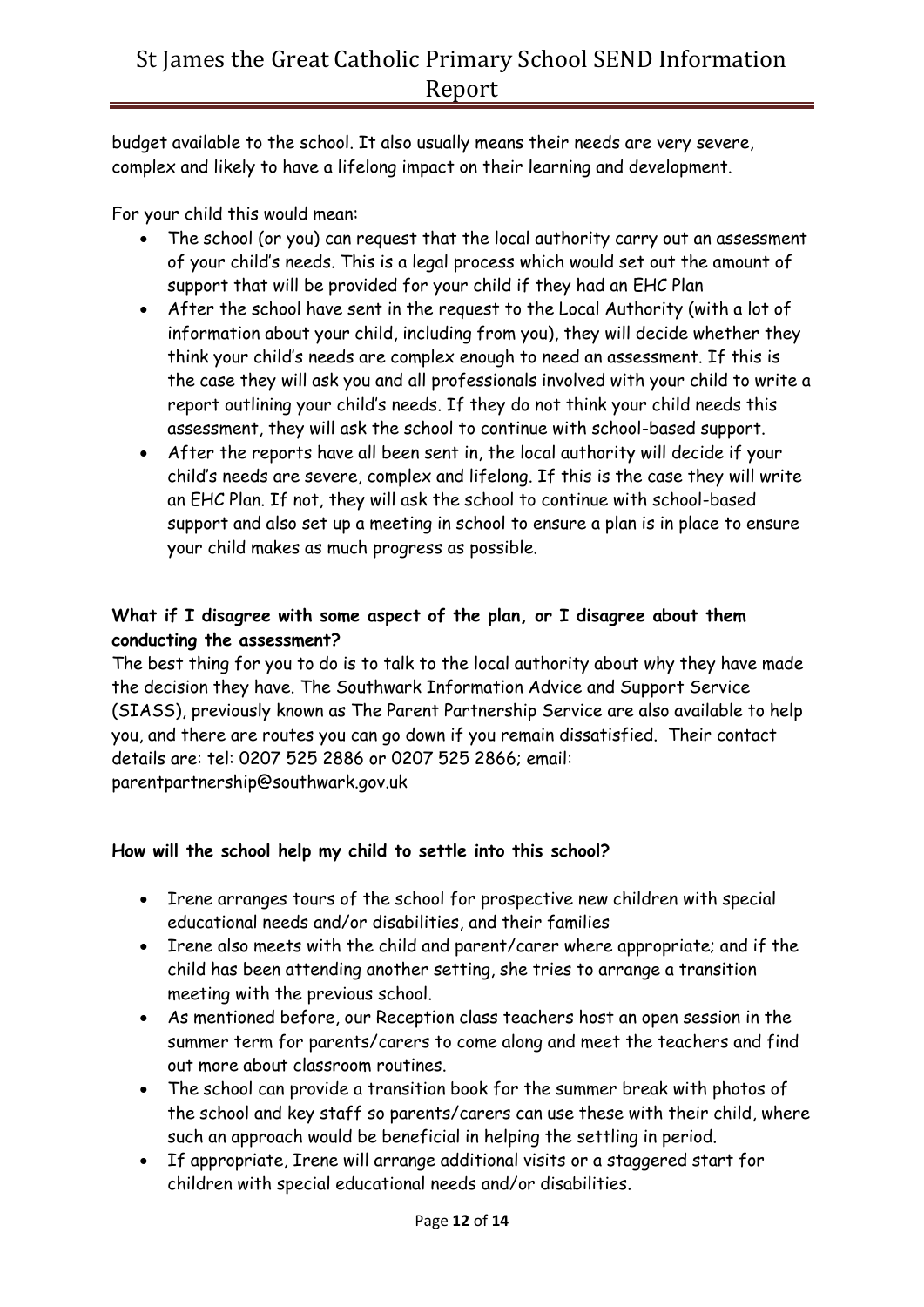budget available to the school. It also usually means their needs are very severe, complex and likely to have a lifelong impact on their learning and development.

For your child this would mean:

- The school (or you) can request that the local authority carry out an assessment of your child's needs. This is a legal process which would set out the amount of support that will be provided for your child if they had an EHC Plan
- After the school have sent in the request to the Local Authority (with a lot of information about your child, including from you), they will decide whether they think your child's needs are complex enough to need an assessment. If this is the case they will ask you and all professionals involved with your child to write a report outlining your child's needs. If they do not think your child needs this assessment, they will ask the school to continue with school-based support.
- After the reports have all been sent in, the local authority will decide if your child's needs are severe, complex and lifelong. If this is the case they will write an EHC Plan. If not, they will ask the school to continue with school-based support and also set up a meeting in school to ensure a plan is in place to ensure your child makes as much progress as possible.

## **What if I disagree with some aspect of the plan, or I disagree about them conducting the assessment?**

The best thing for you to do is to talk to the local authority about why they have made the decision they have. The Southwark Information Advice and Support Service (SIASS), previously known as The Parent Partnership Service are also available to help you, and there are routes you can go down if you remain dissatisfied. Their contact details are: tel: 0207 525 2886 or 0207 525 2866; email: parentpartnership@southwark.gov.uk

## **How will the school help my child to settle into this school?**

- Irene arranges tours of the school for prospective new children with special educational needs and/or disabilities, and their families
- Irene also meets with the child and parent/carer where appropriate; and if the child has been attending another setting, she tries to arrange a transition meeting with the previous school.
- As mentioned before, our Reception class teachers host an open session in the summer term for parents/carers to come along and meet the teachers and find out more about classroom routines.
- The school can provide a transition book for the summer break with photos of the school and key staff so parents/carers can use these with their child, where such an approach would be beneficial in helping the settling in period.
- If appropriate, Irene will arrange additional visits or a staggered start for children with special educational needs and/or disabilities.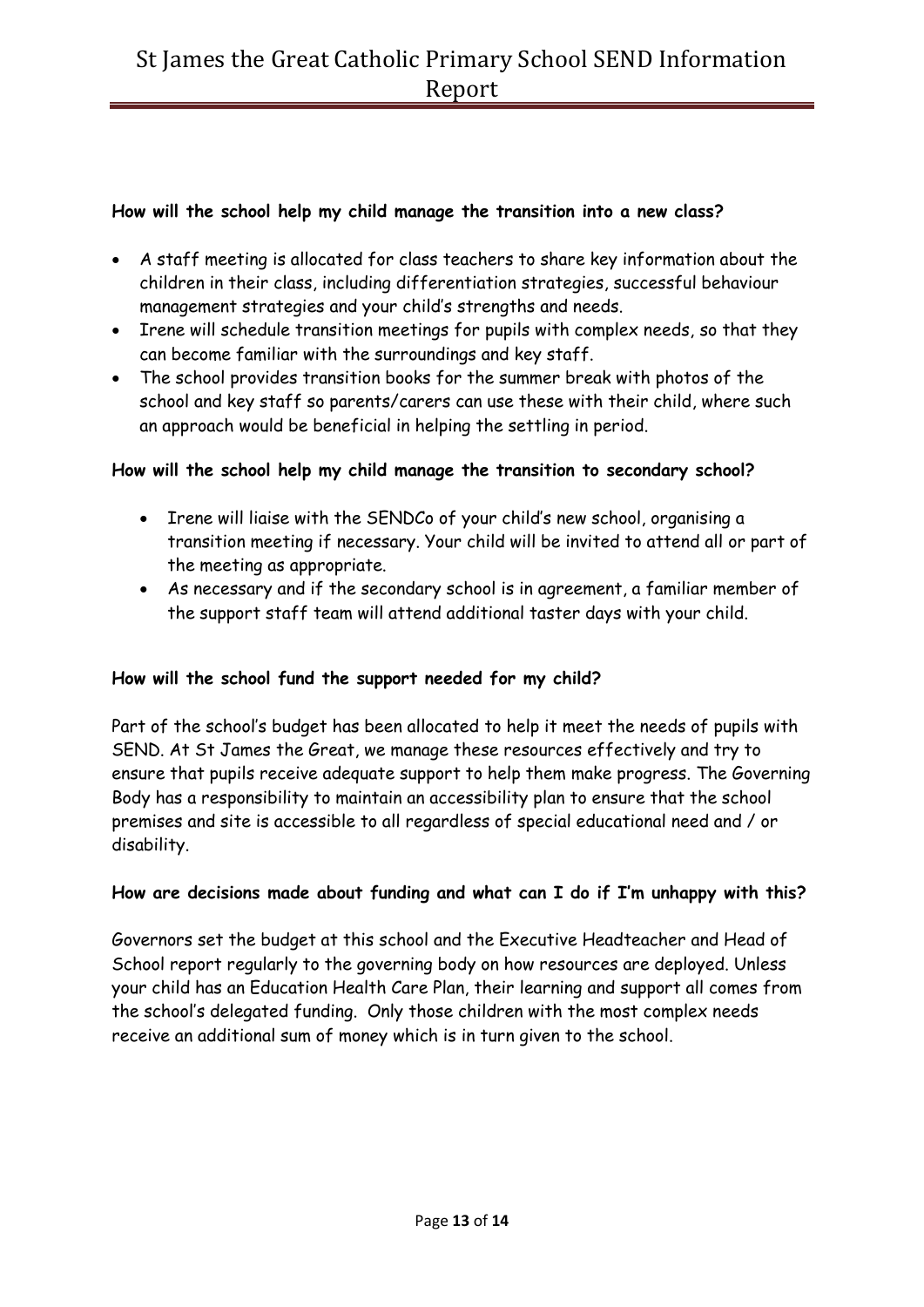## **How will the school help my child manage the transition into a new class?**

- A staff meeting is allocated for class teachers to share key information about the children in their class, including differentiation strategies, successful behaviour management strategies and your child's strengths and needs.
- Irene will schedule transition meetings for pupils with complex needs, so that they can become familiar with the surroundings and key staff.
- The school provides transition books for the summer break with photos of the school and key staff so parents/carers can use these with their child, where such an approach would be beneficial in helping the settling in period.

### **How will the school help my child manage the transition to secondary school?**

- Irene will liaise with the SENDCo of your child's new school, organising a transition meeting if necessary. Your child will be invited to attend all or part of the meeting as appropriate.
- As necessary and if the secondary school is in agreement, a familiar member of the support staff team will attend additional taster days with your child.

## **How will the school fund the support needed for my child?**

Part of the school's budget has been allocated to help it meet the needs of pupils with SEND. At St James the Great, we manage these resources effectively and try to ensure that pupils receive adequate support to help them make progress. The Governing Body has a responsibility to maintain an accessibility plan to ensure that the school premises and site is accessible to all regardless of special educational need and / or disability.

#### **How are decisions made about funding and what can I do if I'm unhappy with this?**

Governors set the budget at this school and the Executive Headteacher and Head of School report regularly to the governing body on how resources are deployed. Unless your child has an Education Health Care Plan, their learning and support all comes from the school's delegated funding. Only those children with the most complex needs receive an additional sum of money which is in turn given to the school.